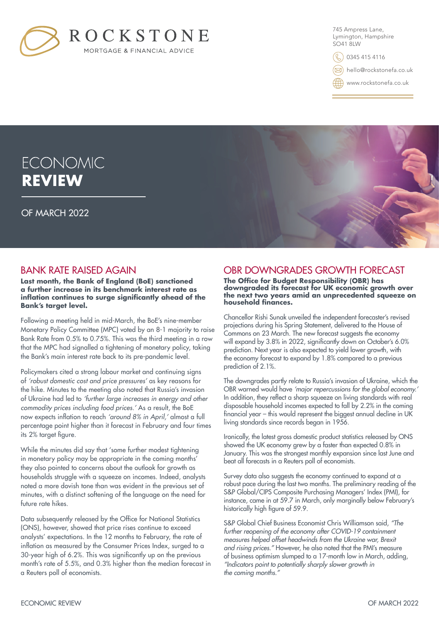

745 Ampress Lane, Lymington, Hampshire SO41 8LW

0345 415 4116

hello@rockstonefa.co.uk

www.rockstonefa.co.uk

# **ECONOMIC REVIEW**

OF MARCH 2022

## BANK RATE RAISED AGAIN

**Last month, the Bank of England (BoE) sanctioned a further increase in its benchmark interest rate as inflation continues to surge significantly ahead of the Bank's target level.** 

Following a meeting held in mid-March, the BoE's nine-member Monetary Policy Committee (MPC) voted by an 8-1 majority to raise Bank Rate from 0.5% to 0.75%. This was the third meeting in a row that the MPC had signalled a tightening of monetary policy, taking the Bank's main interest rate back to its pre-pandemic level.

Policymakers cited a strong labour market and continuing signs of *'robust domestic cost and price pressures'* as key reasons for the hike. Minutes to the meeting also noted that Russia's invasion of Ukraine had led to *'further large increases in energy and other commodity prices including food prices.'* As a result, the BoE now expects inflation to reach *'around 8% in April,'* almost a full percentage point higher than it forecast in February and four times its 2% target figure.

While the minutes did say that 'some further modest tightening in monetary policy may be appropriate in the coming months' they also pointed to concerns about the outlook for growth as households struggle with a squeeze on incomes. Indeed, analysts noted a more dovish tone than was evident in the previous set of minutes, with a distinct softening of the language on the need for future rate hikes.

Data subsequently released by the Office for National Statistics (ONS), however, showed that price rises continue to exceed analysts' expectations. In the 12 months to February, the rate of inflation as measured by the Consumer Prices Index, surged to a 30-year high of 6.2%. This was significantly up on the previous month's rate of 5.5%, and 0.3% higher than the median forecast in a Reuters poll of economists.

## OBR DOWNGRADES GROWTH FORECAST

**The Office for Budget Responsibility (OBR) has downgraded its forecast for UK economic growth over the next two years amid an unprecedented squeeze on household finances.**

Chancellor Rishi Sunak unveiled the independent forecaster's revised projections during his Spring Statement, delivered to the House of Commons on 23 March. The new forecast suggests the economy will expand by 3.8% in 2022, significantly down on October's 6.0% prediction. Next year is also expected to yield lower growth, with the economy forecast to expand by 1.8% compared to a previous prediction of 2.1%.

The downgrades partly relate to Russia's invasion of Ukraine, which the OBR warned would have *'major repercussions for the global economy.'*  In addition, they reflect a sharp squeeze on living standards with real disposable household incomes expected to fall by 2.2% in the coming financial year – this would represent the biggest annual decline in UK living standards since records began in 1956.

Ironically, the latest gross domestic product statistics released by ONS showed the UK economy grew by a faster than expected 0.8% in January. This was the strongest monthly expansion since last June and beat all forecasts in a Reuters poll of economists.

Survey data also suggests the economy continued to expand at a robust pace during the last two months. The preliminary reading of the S&P Global/CIPS Composite Purchasing Managers' Index (PMI), for instance, came in at 59.7 in March, only marginally below February's historically high figure of 59.9.

S&P Global Chief Business Economist Chris Williamson said, *"The further reopening of the economy after COVID-19 containment measures helped offset headwinds from the Ukraine war, Brexit and rising prices."* However, he also noted that the PMI's measure of business optimism slumped to a 17-month low in March, adding, *"Indicators point to potentially sharply slower growth in the coming months."*